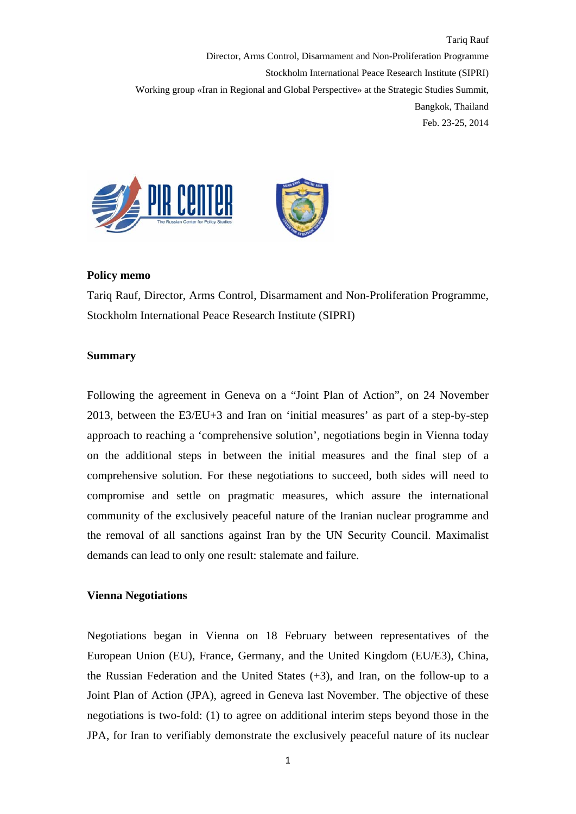Tariq Rauf Director, Arms Control, Disarmament and Non-Proliferation Programme Stockholm International Peace Research Institute (SIPRI) Working group «Iran in Regional and Global Perspective» at the Strategic Studies Summit, Bangkok, Thailand Feb. 23-25, 2014



### **Policy memo**

Tariq Rauf, Director, Arms Control, Disarmament and Non-Proliferation Programme, Stockholm International Peace Research Institute (SIPRI)

## **Summary**

Following the agreement in Geneva on a "Joint Plan of Action", on 24 November 2013, between the E3/EU+3 and Iran on 'initial measures' as part of a step-by-step approach to reaching a 'comprehensive solution', negotiations begin in Vienna today on the additional steps in between the initial measures and the final step of a comprehensive solution. For these negotiations to succeed, both sides will need to compromise and settle on pragmatic measures, which assure the international community of the exclusively peaceful nature of the Iranian nuclear programme and the removal of all sanctions against Iran by the UN Security Council. Maximalist demands can lead to only one result: stalemate and failure.

# **Vienna Negotiations**

Negotiations began in Vienna on 18 February between representatives of the European Union (EU), France, Germany, and the United Kingdom (EU/E3), China, the Russian Federation and the United States (+3), and Iran, on the follow-up to a Joint Plan of Action (JPA), agreed in Geneva last November. The objective of these negotiations is two-fold: (1) to agree on additional interim steps beyond those in the JPA, for Iran to verifiably demonstrate the exclusively peaceful nature of its nuclear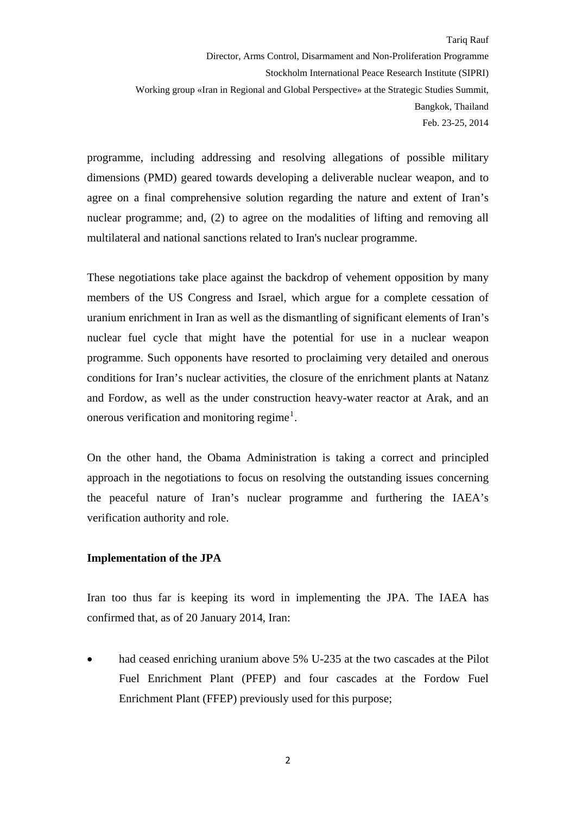programme, including addressing and resolving allegations of possible military dimensions (PMD) geared towards developing a deliverable nuclear weapon, and to agree on a final comprehensive solution regarding the nature and extent of Iran's nuclear programme; and, (2) to agree on the modalities of lifting and removing all multilateral and national sanctions related to Iran's nuclear programme.

These negotiations take place against the backdrop of vehement opposition by many members of the US Congress and Israel, which argue for a complete cessation of uranium enrichment in Iran as well as the dismantling of significant elements of Iran's nuclear fuel cycle that might have the potential for use in a nuclear weapon programme. Such opponents have resorted to proclaiming very detailed and onerous conditions for Iran's nuclear activities, the closure of the enrichment plants at Natanz and Fordow, as well as the under construction heavy-water reactor at Arak, and an onerous verification and monitoring regime<sup>[1](#page-6-0)</sup>.

On the other hand, the Obama Administration is taking a correct and principled approach in the negotiations to focus on resolving the outstanding issues concerning the peaceful nature of Iran's nuclear programme and furthering the IAEA's verification authority and role.

# **Implementation of the JPA**

Iran too thus far is keeping its word in implementing the JPA. The IAEA has confirmed that, as of 20 January 2014, Iran:

had ceased enriching uranium above 5% U-235 at the two cascades at the Pilot Fuel Enrichment Plant (PFEP) and four cascades at the Fordow Fuel Enrichment Plant (FFEP) previously used for this purpose;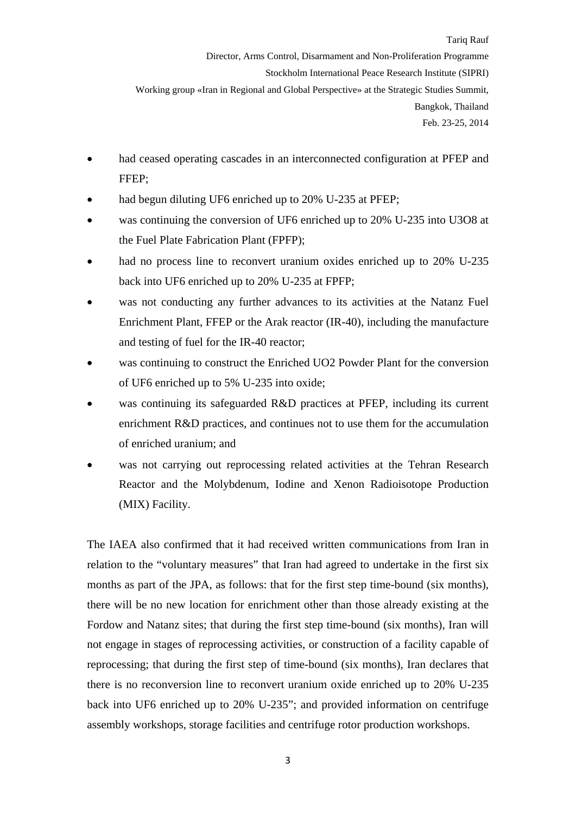Feb. 23-25, 2014

- had ceased operating cascades in an interconnected configuration at PFEP and FFEP;
- had begun diluting UF6 enriched up to 20% U-235 at PFEP;
- was continuing the conversion of UF6 enriched up to 20% U-235 into U3O8 at the Fuel Plate Fabrication Plant (FPFP);
- had no process line to reconvert uranium oxides enriched up to 20% U-235 back into UF6 enriched up to 20% U-235 at FPFP;
- was not conducting any further advances to its activities at the Natanz Fuel Enrichment Plant, FFEP or the Arak reactor (IR-40), including the manufacture and testing of fuel for the IR-40 reactor;
- was continuing to construct the Enriched UO2 Powder Plant for the conversion of UF6 enriched up to 5% U-235 into oxide;
- was continuing its safeguarded R&D practices at PFEP, including its current enrichment R&D practices, and continues not to use them for the accumulation of enriched uranium; and
- was not carrying out reprocessing related activities at the Tehran Research Reactor and the Molybdenum, Iodine and Xenon Radioisotope Production (MIX) Facility.

The IAEA also confirmed that it had received written communications from Iran in relation to the "voluntary measures" that Iran had agreed to undertake in the first six months as part of the JPA, as follows: that for the first step time-bound (six months), there will be no new location for enrichment other than those already existing at the Fordow and Natanz sites; that during the first step time-bound (six months), Iran will not engage in stages of reprocessing activities, or construction of a facility capable of reprocessing; that during the first step of time-bound (six months), Iran declares that there is no reconversion line to reconvert uranium oxide enriched up to 20% U-235 back into UF6 enriched up to 20% U-235"; and provided information on centrifuge assembly workshops, storage facilities and centrifuge rotor production workshops.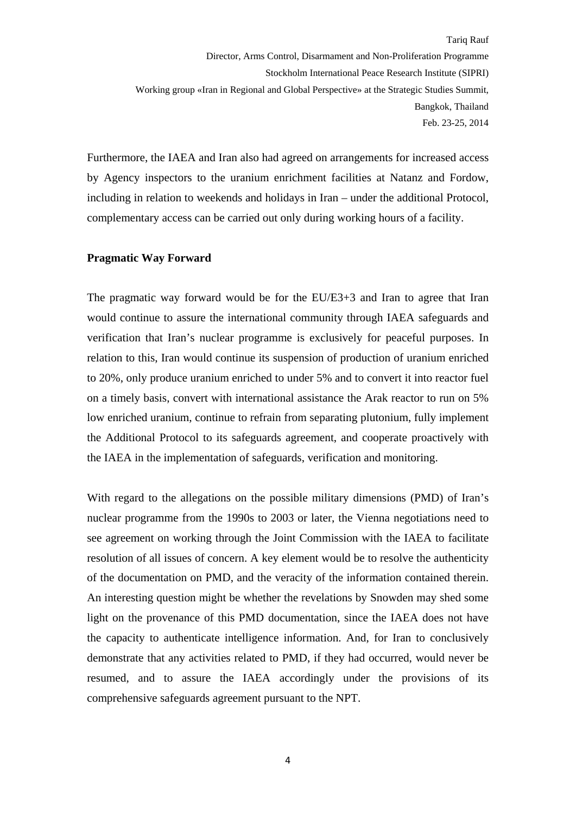Furthermore, the IAEA and Iran also had agreed on arrangements for increased access by Agency inspectors to the uranium enrichment facilities at Natanz and Fordow, including in relation to weekends and holidays in Iran – under the additional Protocol, complementary access can be carried out only during working hours of a facility.

### **Pragmatic Way Forward**

The pragmatic way forward would be for the EU/E3+3 and Iran to agree that Iran would continue to assure the international community through IAEA safeguards and verification that Iran's nuclear programme is exclusively for peaceful purposes. In relation to this, Iran would continue its suspension of production of uranium enriched to 20%, only produce uranium enriched to under 5% and to convert it into reactor fuel on a timely basis, convert with international assistance the Arak reactor to run on 5% low enriched uranium, continue to refrain from separating plutonium, fully implement the Additional Protocol to its safeguards agreement, and cooperate proactively with the IAEA in the implementation of safeguards, verification and monitoring.

With regard to the allegations on the possible military dimensions (PMD) of Iran's nuclear programme from the 1990s to 2003 or later, the Vienna negotiations need to see agreement on working through the Joint Commission with the IAEA to facilitate resolution of all issues of concern. A key element would be to resolve the authenticity of the documentation on PMD, and the veracity of the information contained therein. An interesting question might be whether the revelations by Snowden may shed some light on the provenance of this PMD documentation, since the IAEA does not have the capacity to authenticate intelligence information. And, for Iran to conclusively demonstrate that any activities related to PMD, if they had occurred, would never be resumed, and to assure the IAEA accordingly under the provisions of its comprehensive safeguards agreement pursuant to the NPT.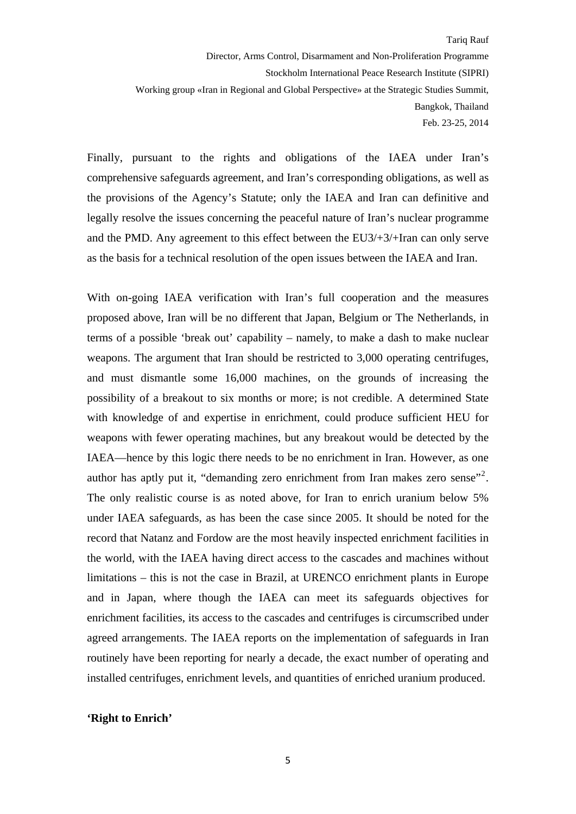Finally, pursuant to the rights and obligations of the IAEA under Iran's comprehensive safeguards agreement, and Iran's corresponding obligations, as well as the provisions of the Agency's Statute; only the IAEA and Iran can definitive and legally resolve the issues concerning the peaceful nature of Iran's nuclear programme and the PMD. Any agreement to this effect between the EU3/+3/+Iran can only serve as the basis for a technical resolution of the open issues between the IAEA and Iran.

With on-going IAEA verification with Iran's full cooperation and the measures proposed above, Iran will be no different that Japan, Belgium or The Netherlands, in terms of a possible 'break out' capability – namely, to make a dash to make nuclear weapons. The argument that Iran should be restricted to 3,000 operating centrifuges, and must dismantle some 16,000 machines, on the grounds of increasing the possibility of a breakout to six months or more; is not credible. A determined State with knowledge of and expertise in enrichment, could produce sufficient HEU for weapons with fewer operating machines, but any breakout would be detected by the IAEA—hence by this logic there needs to be no enrichment in Iran. However, as one author has aptly put it, "demanding zero enrichment from Iran makes zero sense"<sup>[2](#page-6-1)</sup>. The only realistic course is as noted above, for Iran to enrich uranium below 5% under IAEA safeguards, as has been the case since 2005. It should be noted for the record that Natanz and Fordow are the most heavily inspected enrichment facilities in the world, with the IAEA having direct access to the cascades and machines without limitations – this is not the case in Brazil, at URENCO enrichment plants in Europe and in Japan, where though the IAEA can meet its safeguards objectives for enrichment facilities, its access to the cascades and centrifuges is circumscribed under agreed arrangements. The IAEA reports on the implementation of safeguards in Iran routinely have been reporting for nearly a decade, the exact number of operating and installed centrifuges, enrichment levels, and quantities of enriched uranium produced.

#### **'Right to Enrich'**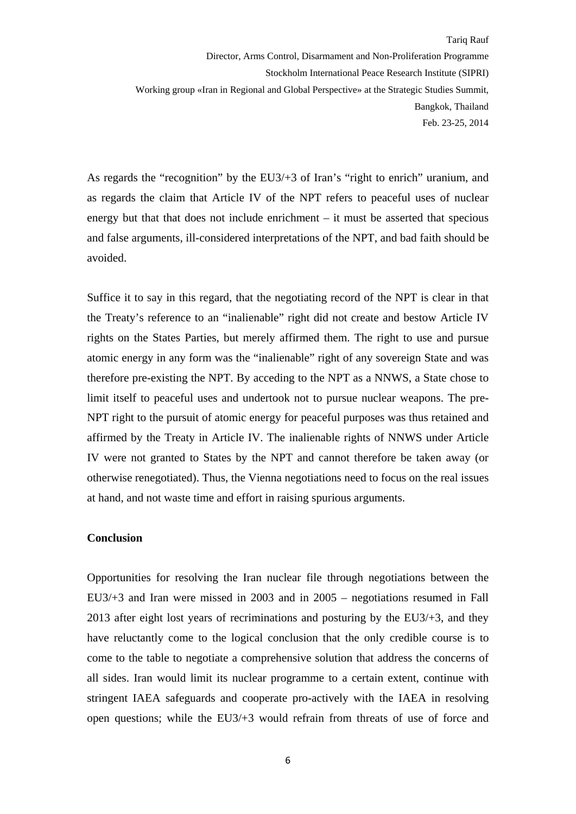As regards the "recognition" by the EU3/+3 of Iran's "right to enrich" uranium, and as regards the claim that Article IV of the NPT refers to peaceful uses of nuclear energy but that that does not include enrichment – it must be asserted that specious and false arguments, ill-considered interpretations of the NPT, and bad faith should be avoided.

Suffice it to say in this regard, that the negotiating record of the NPT is clear in that the Treaty's reference to an "inalienable" right did not create and bestow Article IV rights on the States Parties, but merely affirmed them. The right to use and pursue atomic energy in any form was the "inalienable" right of any sovereign State and was therefore pre-existing the NPT. By acceding to the NPT as a NNWS, a State chose to limit itself to peaceful uses and undertook not to pursue nuclear weapons. The pre-NPT right to the pursuit of atomic energy for peaceful purposes was thus retained and affirmed by the Treaty in Article IV. The inalienable rights of NNWS under Article IV were not granted to States by the NPT and cannot therefore be taken away (or otherwise renegotiated). Thus, the Vienna negotiations need to focus on the real issues at hand, and not waste time and effort in raising spurious arguments.

## **Conclusion**

Opportunities for resolving the Iran nuclear file through negotiations between the EU3/+3 and Iran were missed in 2003 and in 2005 – negotiations resumed in Fall 2013 after eight lost years of recriminations and posturing by the EU3/+3, and they have reluctantly come to the logical conclusion that the only credible course is to come to the table to negotiate a comprehensive solution that address the concerns of all sides. Iran would limit its nuclear programme to a certain extent, continue with stringent IAEA safeguards and cooperate pro-actively with the IAEA in resolving open questions; while the EU3/+3 would refrain from threats of use of force and